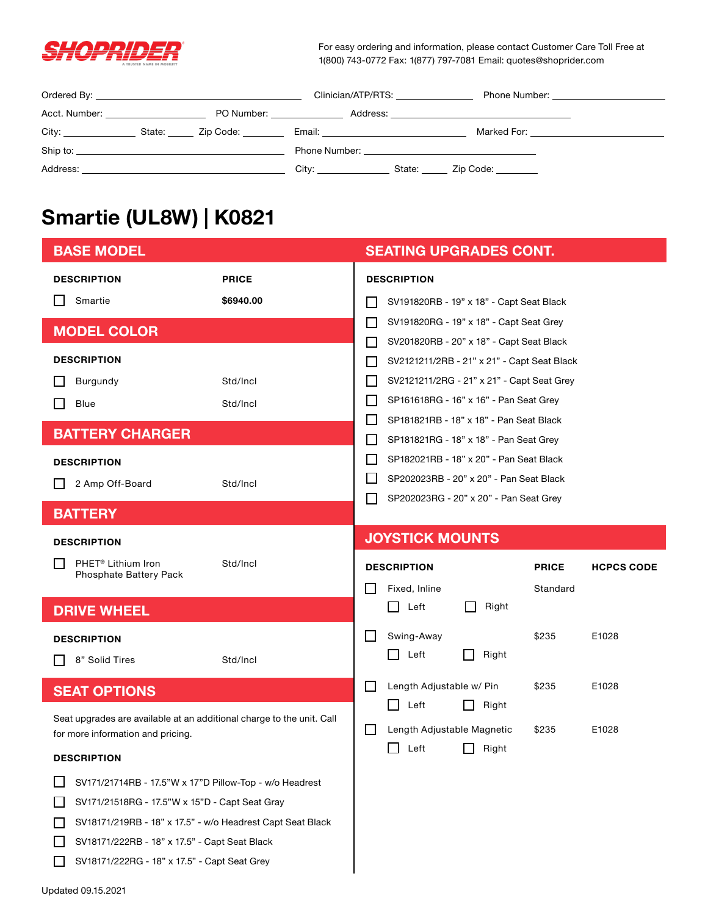

For easy ordering and information, please contact Customer Care Toll Free at 1(800) 743-0772 Fax: 1(877) 797-7081 Email: quotes@shoprider.com

|                                      |                                                                                                                       | Clinician/ATP/RTS:                                                                                                                                                                                                                       | Phone Number: National Phone Number:                                                                                                                                                                                           |
|--------------------------------------|-----------------------------------------------------------------------------------------------------------------------|------------------------------------------------------------------------------------------------------------------------------------------------------------------------------------------------------------------------------------------|--------------------------------------------------------------------------------------------------------------------------------------------------------------------------------------------------------------------------------|
| Acct. Number: ______________________ | PO Number: ______________                                                                                             |                                                                                                                                                                                                                                          |                                                                                                                                                                                                                                |
|                                      |                                                                                                                       | Email: Email: Email: Email: Email: Email: Email: Email: Email: Email: Email: Email: Email: Email: Email: Email: Email: Email: Email: Email: Email: Email: Email: Email: Email: Email: Email: Email: Email: Email: Email: Email           | Marked For: when the control of the control of the control of the control of the control of the control of the control of the control of the control of the control of the control of the control of the control of the contro |
| Ship to:                             | <u> 1989 - John Harry Harry Harry Harry Harry Harry Harry Harry Harry Harry Harry Harry Harry Harry Harry Harry H</u> |                                                                                                                                                                                                                                          |                                                                                                                                                                                                                                |
| Address:                             |                                                                                                                       | City: the contract of the contract of the contract of the contract of the contract of the contract of the contract of the contract of the contract of the contract of the contract of the contract of the contract of the cont<br>State: | Zip Code: www.                                                                                                                                                                                                                 |

# **Smartie (UL8W) | K0821**

| <b>BASE MODEL</b>                                                                                                                                                                                                                                                        |                           |                                                                                                                                                                                     | <b>SEATING UPGRADES CONT.</b>                                                                                                                                           |                                          |                          |                   |  |
|--------------------------------------------------------------------------------------------------------------------------------------------------------------------------------------------------------------------------------------------------------------------------|---------------------------|-------------------------------------------------------------------------------------------------------------------------------------------------------------------------------------|-------------------------------------------------------------------------------------------------------------------------------------------------------------------------|------------------------------------------|--------------------------|-------------------|--|
| <b>DESCRIPTION</b><br>Smartie                                                                                                                                                                                                                                            | <b>PRICE</b><br>\$6940.00 | L.                                                                                                                                                                                  | <b>DESCRIPTION</b>                                                                                                                                                      | SV191820RB - 19" x 18" - Capt Seat Black |                          |                   |  |
| <b>MODEL COLOR</b>                                                                                                                                                                                                                                                       |                           |                                                                                                                                                                                     | SV191820RG - 19" x 18" - Capt Seat Grey<br>$\mathbf{I}$<br>SV201820RB - 20" x 18" - Capt Seat Black<br>$\mathsf{L}$                                                     |                                          |                          |                   |  |
| <b>DESCRIPTION</b><br>Burgundy<br>Blue                                                                                                                                                                                                                                   | Std/Incl<br>Std/Incl      | SV2121211/2RB - 21" x 21" - Capt Seat Black<br>$\mathsf{L}$<br>SV2121211/2RG - 21" x 21" - Capt Seat Grey<br>$\mathsf{L}$<br>SP161618RG - 16" x 16" - Pan Seat Grey<br>$\mathsf{L}$ |                                                                                                                                                                         |                                          |                          |                   |  |
| <b>BATTERY CHARGER</b><br><b>DESCRIPTION</b>                                                                                                                                                                                                                             |                           | $\mathbf{I}$<br>$\mathsf{L}$<br>$\mathsf{L}$<br>$\mathsf{L}$                                                                                                                        | SP181821RB - 18" x 18" - Pan Seat Black<br>SP181821RG - 18" x 18" - Pan Seat Grey<br>SP182021RB - 18" x 20" - Pan Seat Black<br>SP202023RB - 20" x 20" - Pan Seat Black |                                          |                          |                   |  |
| 2 Amp Off-Board<br><b>BATTERY</b>                                                                                                                                                                                                                                        | Std/Incl                  | SP202023RG - 20" x 20" - Pan Seat Grey<br>$\mathsf{L}$<br><b>JOYSTICK MOUNTS</b>                                                                                                    |                                                                                                                                                                         |                                          |                          |                   |  |
| <b>DESCRIPTION</b><br>PHET <sup>®</sup> Lithium Iron<br>ΙI<br>Phosphate Battery Pack                                                                                                                                                                                     | Std/Incl                  | H                                                                                                                                                                                   | <b>DESCRIPTION</b><br>Fixed, Inline                                                                                                                                     |                                          | <b>PRICE</b><br>Standard | <b>HCPCS CODE</b> |  |
| <b>DRIVE WHEEL</b><br><b>DESCRIPTION</b><br>8" Solid Tires                                                                                                                                                                                                               | Std/Incl                  | H                                                                                                                                                                                   | Left<br>Swing-Away<br>Left                                                                                                                                              | Right<br>Right                           | \$235                    | E1028             |  |
| <b>SEAT OPTIONS</b>                                                                                                                                                                                                                                                      |                           | l 1                                                                                                                                                                                 | Length Adjustable w/ Pin<br>Left                                                                                                                                        | Right                                    | \$235                    | E1028             |  |
| Seat upgrades are available at an additional charge to the unit. Call<br>for more information and pricing.<br><b>DESCRIPTION</b>                                                                                                                                         |                           |                                                                                                                                                                                     | Length Adjustable Magnetic<br>Left                                                                                                                                      | Right                                    | \$235                    | E1028             |  |
| SV171/21714RB - 17.5"W x 17"D Pillow-Top - w/o Headrest<br>SV171/21518RG - 17.5"W x 15"D - Capt Seat Gray<br>SV18171/219RB - 18" x 17.5" - w/o Headrest Capt Seat Black<br>SV18171/222RB - 18" x 17.5" - Capt Seat Black<br>SV18171/222RG - 18" x 17.5" - Capt Seat Grey |                           |                                                                                                                                                                                     |                                                                                                                                                                         |                                          |                          |                   |  |